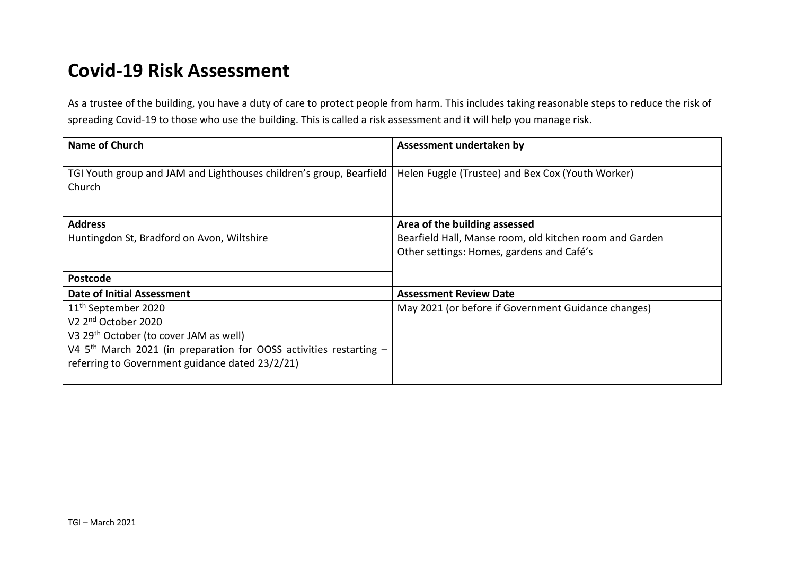## **Covid-19 Risk Assessment**

As a trustee of the building, you have a duty of care to protect people from harm. This includes taking reasonable steps to reduce the risk of spreading Covid-19 to those who use the building. This is called a risk assessment and it will help you manage risk.

| <b>Name of Church</b>                                                         | Assessment undertaken by                                                                                                              |
|-------------------------------------------------------------------------------|---------------------------------------------------------------------------------------------------------------------------------------|
| TGI Youth group and JAM and Lighthouses children's group, Bearfield<br>Church | Helen Fuggle (Trustee) and Bex Cox (Youth Worker)                                                                                     |
| <b>Address</b><br>Huntingdon St, Bradford on Avon, Wiltshire                  | Area of the building assessed<br>Bearfield Hall, Manse room, old kitchen room and Garden<br>Other settings: Homes, gardens and Café's |
| <b>Postcode</b>                                                               |                                                                                                                                       |
| <b>Date of Initial Assessment</b>                                             | <b>Assessment Review Date</b>                                                                                                         |
| 11 <sup>th</sup> September 2020                                               | May 2021 (or before if Government Guidance changes)                                                                                   |
| V <sub>2</sub> 2 <sup>nd</sup> October 2020                                   |                                                                                                                                       |
| V3 29 <sup>th</sup> October (to cover JAM as well)                            |                                                                                                                                       |
| V4 $5th$ March 2021 (in preparation for OOSS activities restarting $-$        |                                                                                                                                       |
| referring to Government guidance dated 23/2/21)                               |                                                                                                                                       |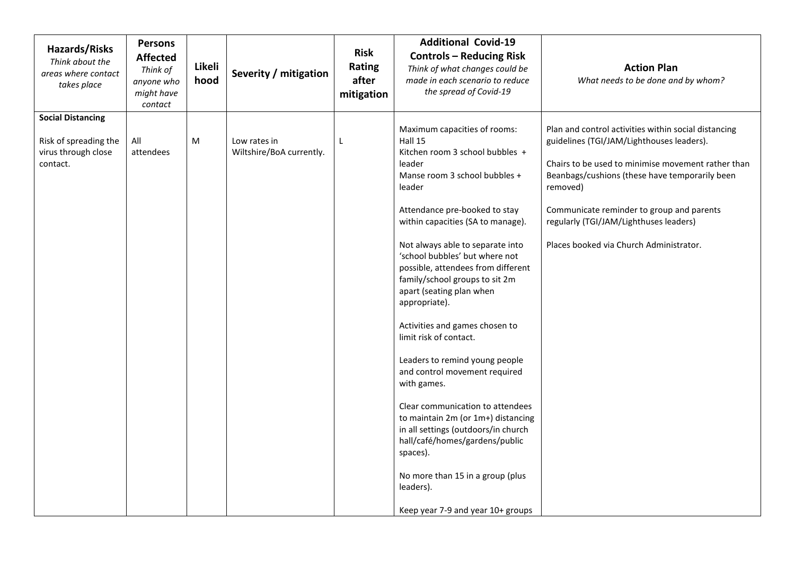| Hazards/Risks<br>Think about the<br>areas where contact<br>takes place               | <b>Persons</b><br><b>Affected</b><br>Think of<br>anyone who<br>might have<br>contact | Likeli<br>hood | Severity / mitigation                    | <b>Risk</b><br>Rating<br>after<br>mitigation | <b>Additional Covid-19</b><br><b>Controls - Reducing Risk</b><br>Think of what changes could be<br>made in each scenario to reduce<br>the spread of Covid-19                                                                                                                                                                                                                                                                                                                                                                                                                                                                                                                                                                                                                                        | <b>Action Plan</b><br>What needs to be done and by whom?                                                                                                                                                                                                                                                                                                |
|--------------------------------------------------------------------------------------|--------------------------------------------------------------------------------------|----------------|------------------------------------------|----------------------------------------------|-----------------------------------------------------------------------------------------------------------------------------------------------------------------------------------------------------------------------------------------------------------------------------------------------------------------------------------------------------------------------------------------------------------------------------------------------------------------------------------------------------------------------------------------------------------------------------------------------------------------------------------------------------------------------------------------------------------------------------------------------------------------------------------------------------|---------------------------------------------------------------------------------------------------------------------------------------------------------------------------------------------------------------------------------------------------------------------------------------------------------------------------------------------------------|
| <b>Social Distancing</b><br>Risk of spreading the<br>virus through close<br>contact. | All<br>attendees                                                                     | M              | Low rates in<br>Wiltshire/BoA currently. | L                                            | Maximum capacities of rooms:<br>Hall 15<br>Kitchen room 3 school bubbles +<br>leader<br>Manse room 3 school bubbles +<br>leader<br>Attendance pre-booked to stay<br>within capacities (SA to manage).<br>Not always able to separate into<br>'school bubbles' but where not<br>possible, attendees from different<br>family/school groups to sit 2m<br>apart (seating plan when<br>appropriate).<br>Activities and games chosen to<br>limit risk of contact.<br>Leaders to remind young people<br>and control movement required<br>with games.<br>Clear communication to attendees<br>to maintain 2m (or 1m+) distancing<br>in all settings (outdoors/in church<br>hall/café/homes/gardens/public<br>spaces).<br>No more than 15 in a group (plus<br>leaders).<br>Keep year 7-9 and year 10+ groups | Plan and control activities within social distancing<br>guidelines (TGI/JAM/Lighthouses leaders).<br>Chairs to be used to minimise movement rather than<br>Beanbags/cushions (these have temporarily been<br>removed)<br>Communicate reminder to group and parents<br>regularly (TGI/JAM/Lighthuses leaders)<br>Places booked via Church Administrator. |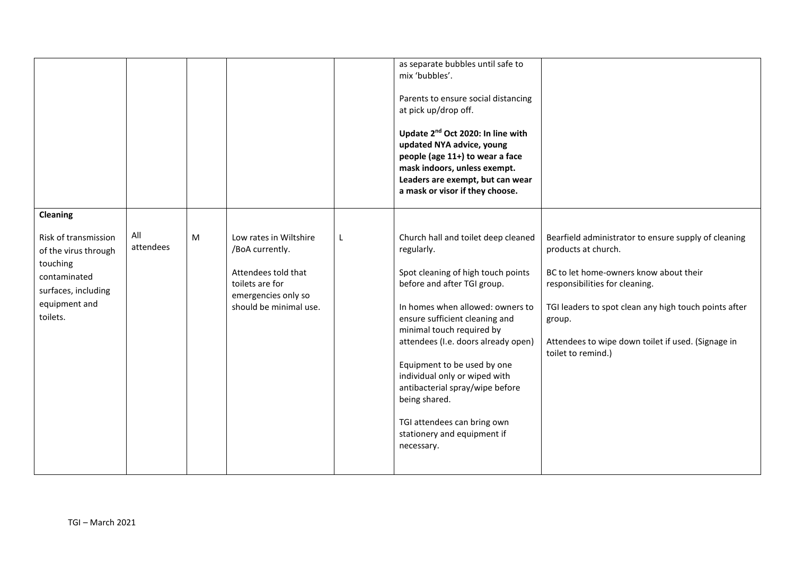|                                                                                                                                                 |                  |   |                                                                                                                                      |   | as separate bubbles until safe to<br>mix 'bubbles'.<br>Parents to ensure social distancing<br>at pick up/drop off.<br>Update 2 <sup>nd</sup> Oct 2020: In line with<br>updated NYA advice, young<br>people (age 11+) to wear a face<br>mask indoors, unless exempt.<br>Leaders are exempt, but can wear<br>a mask or visor if they choose.                                                                                                                       |                                                                                                                                                                                                                                                                                                        |
|-------------------------------------------------------------------------------------------------------------------------------------------------|------------------|---|--------------------------------------------------------------------------------------------------------------------------------------|---|------------------------------------------------------------------------------------------------------------------------------------------------------------------------------------------------------------------------------------------------------------------------------------------------------------------------------------------------------------------------------------------------------------------------------------------------------------------|--------------------------------------------------------------------------------------------------------------------------------------------------------------------------------------------------------------------------------------------------------------------------------------------------------|
| <b>Cleaning</b><br>Risk of transmission<br>of the virus through<br>touching<br>contaminated<br>surfaces, including<br>equipment and<br>toilets. | All<br>attendees | M | Low rates in Wiltshire<br>/BoA currently.<br>Attendees told that<br>toilets are for<br>emergencies only so<br>should be minimal use. | L | Church hall and toilet deep cleaned<br>regularly.<br>Spot cleaning of high touch points<br>before and after TGI group.<br>In homes when allowed: owners to<br>ensure sufficient cleaning and<br>minimal touch required by<br>attendees (I.e. doors already open)<br>Equipment to be used by one<br>individual only or wiped with<br>antibacterial spray/wipe before<br>being shared.<br>TGI attendees can bring own<br>stationery and equipment if<br>necessary. | Bearfield administrator to ensure supply of cleaning<br>products at church.<br>BC to let home-owners know about their<br>responsibilities for cleaning.<br>TGI leaders to spot clean any high touch points after<br>group.<br>Attendees to wipe down toilet if used. (Signage in<br>toilet to remind.) |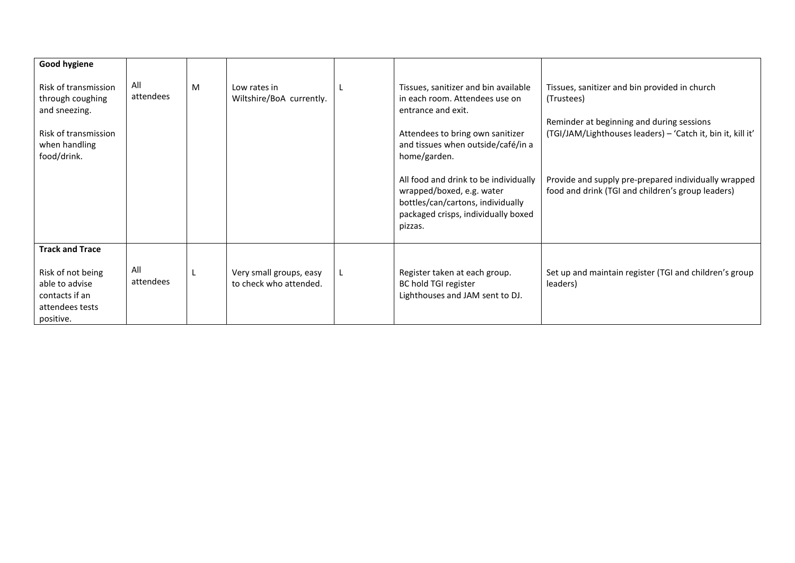| <b>Good hygiene</b><br>Risk of transmission<br>through coughing<br>and sneezing.<br>Risk of transmission<br>when handling<br>food/drink. | All<br>attendees | M | Low rates in<br>Wiltshire/BoA currently.          | Tissues, sanitizer and bin available<br>in each room. Attendees use on<br>entrance and exit.<br>Attendees to bring own sanitizer<br>and tissues when outside/café/in a<br>home/garden.<br>All food and drink to be individually<br>wrapped/boxed, e.g. water<br>bottles/can/cartons, individually<br>packaged crisps, individually boxed<br>pizzas. | Tissues, sanitizer and bin provided in church<br>(Trustees)<br>Reminder at beginning and during sessions<br>(TGI/JAM/Lighthouses leaders) - 'Catch it, bin it, kill it'<br>Provide and supply pre-prepared individually wrapped<br>food and drink (TGI and children's group leaders) |
|------------------------------------------------------------------------------------------------------------------------------------------|------------------|---|---------------------------------------------------|-----------------------------------------------------------------------------------------------------------------------------------------------------------------------------------------------------------------------------------------------------------------------------------------------------------------------------------------------------|--------------------------------------------------------------------------------------------------------------------------------------------------------------------------------------------------------------------------------------------------------------------------------------|
| <b>Track and Trace</b><br>Risk of not being<br>able to advise<br>contacts if an<br>attendees tests<br>positive.                          | All<br>attendees |   | Very small groups, easy<br>to check who attended. | Register taken at each group.<br>BC hold TGI register<br>Lighthouses and JAM sent to DJ.                                                                                                                                                                                                                                                            | Set up and maintain register (TGI and children's group<br>leaders)                                                                                                                                                                                                                   |